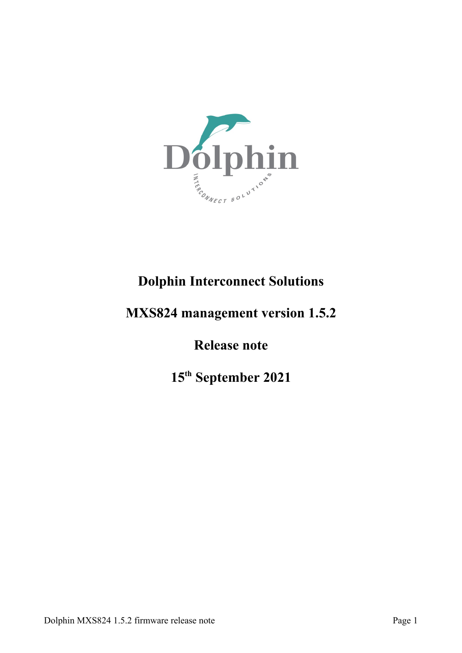

# **Dolphin Interconnect Solutions**

# **MXS824 management version 1.5.2**

## **Release note**

**15th September 2021**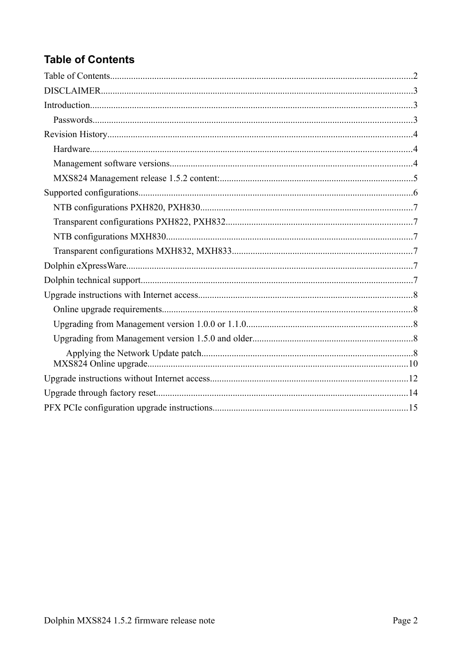# <span id="page-1-0"></span>**Table of Contents**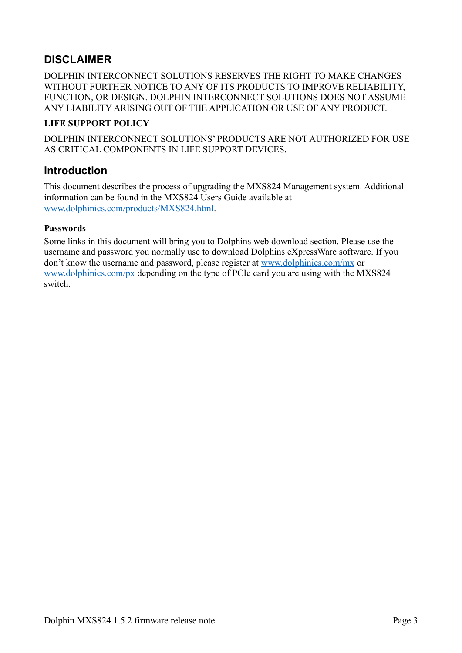## <span id="page-2-2"></span>**DISCLAIMER**

DOLPHIN INTERCONNECT SOLUTIONS RESERVES THE RIGHT TO MAKE CHANGES WITHOUT FURTHER NOTICE TO ANY OF ITS PRODUCTS TO IMPROVE RELIABILITY, FUNCTION, OR DESIGN. DOLPHIN INTERCONNECT SOLUTIONS DOES NOT ASSUME ANY LIABILITY ARISING OUT OF THE APPLICATION OR USE OF ANY PRODUCT.

#### **LIFE SUPPORT POLICY**

DOLPHIN INTERCONNECT SOLUTIONS' PRODUCTS ARE NOT AUTHORIZED FOR USE AS CRITICAL COMPONENTS IN LIFE SUPPORT DEVICES.

### <span id="page-2-1"></span>**Introduction**

This document describes the process of upgrading the MXS824 Management system. Additional information can be found in the MXS824 Users Guide available at [www.dolphinics.com/products/MXS824.html.](https://www.dolphinics.com/products/MXS824.html)

#### <span id="page-2-0"></span>**Passwords**

Some links in this document will bring you to Dolphins web download section. Please use the username and password you normally use to download Dolphins eXpressWare software. If you don't know the username and password, please register at [www.dolphinics.com/mx](https://www.dolphinics.com/mx) or [www.dolphinics.com/px](https://www.dolphinics.com/px) depending on the type of PCIe card you are using with the MXS824 switch.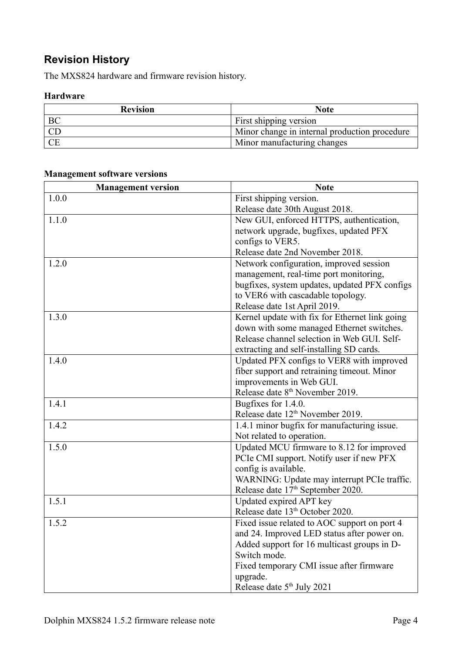## <span id="page-3-2"></span>**Revision History**

The MXS824 hardware and firmware revision history.

#### <span id="page-3-1"></span>**Hardware**

| <b>Revision</b> | <b>Note</b>                                   |
|-----------------|-----------------------------------------------|
| BC              | First shipping version                        |
|                 | Minor change in internal production procedure |
| <b>CE</b>       | Minor manufacturing changes                   |

### <span id="page-3-0"></span>**Management software versions**

| <b>Management version</b> | <b>Note</b>                                    |  |  |
|---------------------------|------------------------------------------------|--|--|
| 1.0.0                     | First shipping version.                        |  |  |
|                           | Release date 30th August 2018.                 |  |  |
| 1.1.0                     | New GUI, enforced HTTPS, authentication,       |  |  |
|                           | network upgrade, bugfixes, updated PFX         |  |  |
|                           | configs to VER5.                               |  |  |
|                           | Release date 2nd November 2018.                |  |  |
| 1.2.0                     | Network configuration, improved session        |  |  |
|                           | management, real-time port monitoring,         |  |  |
|                           | bugfixes, system updates, updated PFX configs  |  |  |
|                           | to VER6 with cascadable topology.              |  |  |
|                           | Release date 1st April 2019.                   |  |  |
| 1.3.0                     | Kernel update with fix for Ethernet link going |  |  |
|                           | down with some managed Ethernet switches.      |  |  |
|                           | Release channel selection in Web GUI. Self-    |  |  |
|                           | extracting and self-installing SD cards.       |  |  |
| 1.4.0                     | Updated PFX configs to VER8 with improved      |  |  |
|                           | fiber support and retraining timeout. Minor    |  |  |
|                           | improvements in Web GUI.                       |  |  |
|                           | Release date 8 <sup>th</sup> November 2019.    |  |  |
| 1.4.1                     | Bugfixes for 1.4.0.                            |  |  |
|                           | Release date 12 <sup>th</sup> November 2019.   |  |  |
| 1.4.2                     | 1.4.1 minor bugfix for manufacturing issue.    |  |  |
|                           | Not related to operation.                      |  |  |
| 1.5.0                     | Updated MCU firmware to 8.12 for improved      |  |  |
|                           | PCIe CMI support. Notify user if new PFX       |  |  |
|                           | config is available.                           |  |  |
|                           | WARNING: Update may interrupt PCIe traffic.    |  |  |
|                           | Release date 17 <sup>th</sup> September 2020.  |  |  |
| 1.5.1                     | Updated expired APT key                        |  |  |
|                           | Release date 13 <sup>th</sup> October 2020.    |  |  |
| 1.5.2                     | Fixed issue related to AOC support on port 4   |  |  |
|                           | and 24. Improved LED status after power on.    |  |  |
|                           | Added support for 16 multicast groups in D-    |  |  |
|                           | Switch mode.                                   |  |  |
|                           | Fixed temporary CMI issue after firmware       |  |  |
|                           | upgrade.                                       |  |  |
|                           | Release date 5 <sup>th</sup> July 2021         |  |  |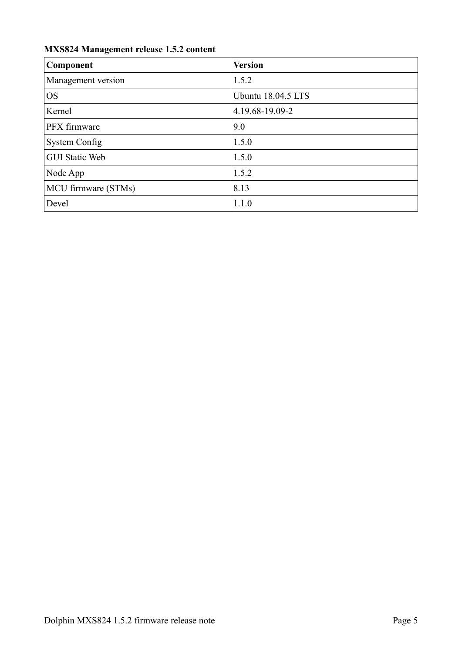### <span id="page-4-0"></span>**MXS824 Management release 1.5.2 content**

| <b>Component</b>      | <b>Version</b>     |
|-----------------------|--------------------|
| Management version    | 1.5.2              |
| <b>OS</b>             | Ubuntu 18.04.5 LTS |
| Kernel                | 4.19.68-19.09-2    |
| PFX firmware          | 9.0                |
| <b>System Config</b>  | 1.5.0              |
| <b>GUI Static Web</b> | 1.5.0              |
| Node App              | 1.5.2              |
| MCU firmware (STMs)   | 8.13               |
| Devel                 | 1.1.0              |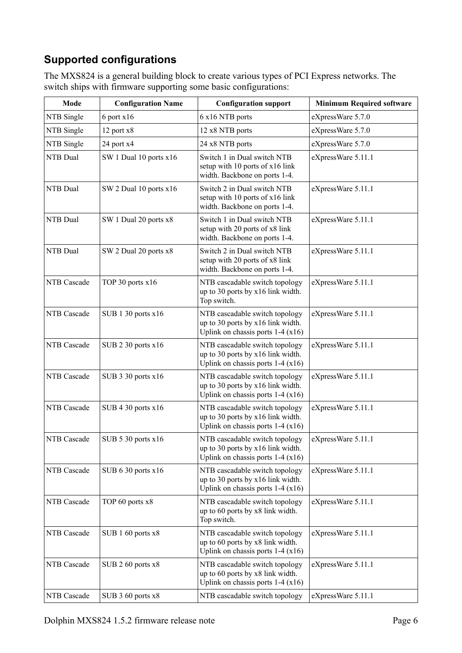## <span id="page-5-0"></span>**Supported configurations**

The MXS824 is a general building block to create various types of PCI Express networks. The switch ships with firmware supporting some basic configurations:

| Mode               | <b>Configuration Name</b> | <b>Configuration support</b>                                                                              | <b>Minimum Required software</b> |
|--------------------|---------------------------|-----------------------------------------------------------------------------------------------------------|----------------------------------|
| NTB Single         | $6$ port $x16$            | 6 x16 NTB ports                                                                                           | eXpressWare 5.7.0                |
| NTB Single         | 12 port x8                | 12 x8 NTB ports                                                                                           | eXpressWare 5.7.0                |
| NTB Single         | 24 port x4                | 24 x8 NTB ports                                                                                           | eXpressWare 5.7.0                |
| NTB Dual           | SW 1 Dual 10 ports x16    | Switch 1 in Dual switch NTB<br>setup with 10 ports of x16 link<br>width. Backbone on ports 1-4.           | eXpressWare 5.11.1               |
| NTB Dual           | SW 2 Dual 10 ports x16    | Switch 2 in Dual switch NTB<br>setup with 10 ports of x16 link<br>width. Backbone on ports 1-4.           | eXpressWare 5.11.1               |
| NTB Dual           | SW 1 Dual 20 ports x8     | Switch 1 in Dual switch NTB<br>setup with 20 ports of x8 link<br>width. Backbone on ports 1-4.            | eXpressWare 5.11.1               |
| NTB Dual           | SW 2 Dual 20 ports x8     | Switch 2 in Dual switch NTB<br>setup with 20 ports of x8 link<br>width. Backbone on ports 1-4.            | eXpressWare 5.11.1               |
| NTB Cascade        | TOP 30 ports x16          | NTB cascadable switch topology<br>up to 30 ports by x16 link width.<br>Top switch.                        | eXpressWare 5.11.1               |
| NTB Cascade        | SUB 1 30 ports x16        | NTB cascadable switch topology<br>up to 30 ports by x16 link width.<br>Uplink on chassis ports $1-4(x16)$ | eXpressWare 5.11.1               |
| NTB Cascade        | SUB 2 30 ports x16        | NTB cascadable switch topology<br>up to 30 ports by x16 link width.<br>Uplink on chassis ports $1-4(x16)$ | eXpressWare 5.11.1               |
| NTB Cascade        | SUB 3 30 ports x16        | NTB cascadable switch topology<br>up to 30 ports by x16 link width.<br>Uplink on chassis ports $1-4(x16)$ | eXpressWare 5.11.1               |
| <b>NTB</b> Cascade | SUB 4 30 ports x16        | NTB cascadable switch topology<br>up to 30 ports by x16 link width.<br>Uplink on chassis ports $1-4(x16)$ | eXpressWare 5.11.1               |
| NTB Cascade        | SUB $530$ ports $x16$     | NTB cascadable switch topology<br>up to 30 ports by x16 link width.<br>Uplink on chassis ports $1-4(x16)$ | eXpressWare 5.11.1               |
| NTB Cascade        | SUB $630$ ports $x16$     | NTB cascadable switch topology<br>up to 30 ports by x16 link width.<br>Uplink on chassis ports $1-4(x16)$ | eXpressWare 5.11.1               |
| NTB Cascade        | TOP 60 ports x8           | NTB cascadable switch topology<br>up to 60 ports by x8 link width.<br>Top switch.                         | eXpressWare 5.11.1               |
| NTB Cascade        | SUB 1 60 ports x8         | NTB cascadable switch topology<br>up to 60 ports by x8 link width.<br>Uplink on chassis ports $1-4(x16)$  | eXpressWare 5.11.1               |
| NTB Cascade        | SUB 2 60 ports x8         | NTB cascadable switch topology<br>up to 60 ports by x8 link width.<br>Uplink on chassis ports $1-4(x16)$  | eXpressWare 5.11.1               |
| NTB Cascade        | SUB 3 60 ports x8         | NTB cascadable switch topology                                                                            | eXpressWare 5.11.1               |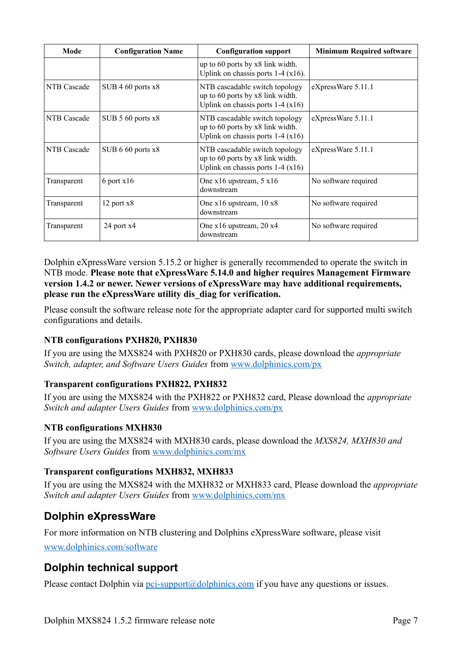| Mode        | <b>Configuration Name</b> | <b>Configuration support</b>                                                                             | <b>Minimum Required software</b> |
|-------------|---------------------------|----------------------------------------------------------------------------------------------------------|----------------------------------|
|             |                           | up to $60$ ports by $x8$ link width.<br>Uplink on chassis ports $1-4$ (x16).                             |                                  |
| NTB Cascade | SUB $460$ ports $x8$      | NTB cascadable switch topology<br>up to 60 ports by x8 link width.<br>Uplink on chassis ports $1-4(x16)$ | eXpressWare 5.11.1               |
| NTB Cascade | SUB $560$ ports $x8$      | NTB cascadable switch topology<br>up to 60 ports by x8 link width.<br>Uplink on chassis ports $1-4(x16)$ | eXpressWare 5.11.1               |
| NTB Cascade | SUB 6 60 ports x8         | NTB cascadable switch topology<br>up to 60 ports by x8 link width.<br>Uplink on chassis ports $1-4(x16)$ | eXpressWare 5.11.1               |
| Transparent | $6$ port $x16$            | One $x16$ upstream, $5x16$<br>downstream                                                                 | No software required             |
| Transparent | $12$ port $x8$            | One $x16$ upstream, $10 x8$<br>downstream                                                                | No software required             |
| Transparent | 24 port x4                | One x16 upstream, 20 x4<br>downstream                                                                    | No software required             |

Dolphin eXpressWare version 5.15.2 or higher is generally recommended to operate the switch in NTB mode. **Please note that eXpressWare 5.14.0 and higher requires Management Firmware version 1.4.2 or newer. Newer versions of eXpressWare may have additional requirements, please run the eXpressWare utility dis\_diag for verification.**

Please consult the software release note for the appropriate adapter card for supported multi switch configurations and details.

#### <span id="page-6-5"></span>**NTB configurations PXH820, PXH830**

If you are using the MXS824 with PXH820 or PXH830 cards, please download the *appropriate Switch, adapter, and Software Users Guides* from [www.dolphinics.com/px](https://www.dolphinics.com/px)

#### <span id="page-6-4"></span>**Transparent configurations PXH822, PXH832**

If you are using the MXS824 with the PXH822 or PXH832 card, Please download the *appropriate Switch and adapter Users Guides* from [www.dolphinics.com/px](https://www.dolphinics.com/px)

#### <span id="page-6-3"></span>**NTB configurations MXH830**

If you are using the MXS824 with MXH830 cards, please download the *MXS824, MXH830 and Software Users Guides* from [www.dolphinics.com/mx](https://www.dolphinics.com/mx)

#### <span id="page-6-2"></span>**Transparent configurations MXH832, MXH833**

If you are using the MXS824 with the MXH832 or MXH833 card, Please download the *appropriate Switch and adapter Users Guides* from [www.dolphinics.com/mx](https://www.dolphinics.com/mx)

### <span id="page-6-1"></span>**Dolphin eXpressWare**

For more information on NTB clustering and Dolphins eXpressWare software, please visit [www.dolphinics.com/software](http://www.dolphinics.com/software)

### <span id="page-6-0"></span>**Dolphin technical support**

Please contact Dolphin via  $pci$ -support $@$ dolphinics.com if you have any questions or issues.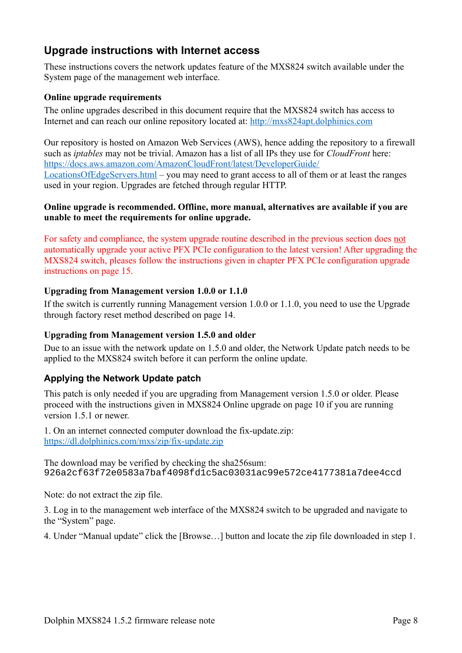## <span id="page-7-4"></span>**Upgrade instructions with Internet access**

These instructions covers the network updates feature of the MXS824 switch available under the System page of the management web interface.

#### <span id="page-7-0"></span>**Online upgrade requirements**

The online upgrades described in this document require that the MXS824 switch has access to Internet and can reach our online repository located at: [http://mxs824apt.dolphinics.com](http://mxs824apt.dolphinics.com/)

Our repository is hosted on Amazon Web Services (AWS), hence adding the repository to a firewall such as *iptables* may not be trivial. Amazon has a list of all IPs they use for *CloudFront* here: [https://docs.aws.amazon.com/AmazonCloudFront/latest/DeveloperGuide/](https://docs.aws.amazon.com/AmazonCloudFront/latest/DeveloperGuide/LocationsOfEdgeServers.html) [LocationsOfEdgeServers.html](https://docs.aws.amazon.com/AmazonCloudFront/latest/DeveloperGuide/LocationsOfEdgeServers.html) – you may need to grant access to all of them or at least the ranges used in your region. Upgrades are fetched through regular HTTP.

#### **Online upgrade is recommended. Offline, more manual, alternatives are available if you are unable to meet the requirements for online upgrade.**

For safety and compliance, the system upgrade routine described in the previous section does not automatically upgrade your active PFX PCIe configuration to the latest version! After upgrading the MXS824 switch, pleases follow the instructions given in chapter [PFX PCIe configuration upgrade](#page-14-0)  [instructions](#page-14-0) on page [15](#page-14-0).

#### <span id="page-7-3"></span>**Upgrading from Management version 1.0.0 or 1.1.0**

If the switch is currently running Management version 1.0.0 or 1.1.0, you need to use the [Upgrade](#page-13-0)  [through factory reset](#page-13-0) method described on page [14](#page-13-0).

#### <span id="page-7-2"></span>**Upgrading from Management version 1.5.0 and older**

Due to an issue with the network update on 1.5.0 and older, the Network Update patch needs to be applied to the MXS824 switch before it can perform the online update.

#### <span id="page-7-1"></span>**Applying the Network Update patch**

This patch is only needed if you are upgrading from Management version 1.5.0 or older. Please proceed with the instructions given in [MXS824 Online upgrade](#page-9-0) on page [10](#page-9-0) if you are running version 1.5.1 or newer.

1. On an internet connected computer download the fix-update.zip:  [https ://dl.dolphinics.com/mxs/zip/fix-update.zip](https://dl.dolphinics.com/mxs/zip/fix-update.zip)

The download may be verified by checking the sha256sum: 926a2cf63f72e0583a7baf4098fd1c5ac03031ac99e572ce4177381a7dee4ccd

Note: do not extract the zip file.

3. Log in to the management web interface of the MXS824 switch to be upgraded and navigate to the "System" page.

4. Under "Manual update" click the [Browse…] button and locate the zip file downloaded in step 1.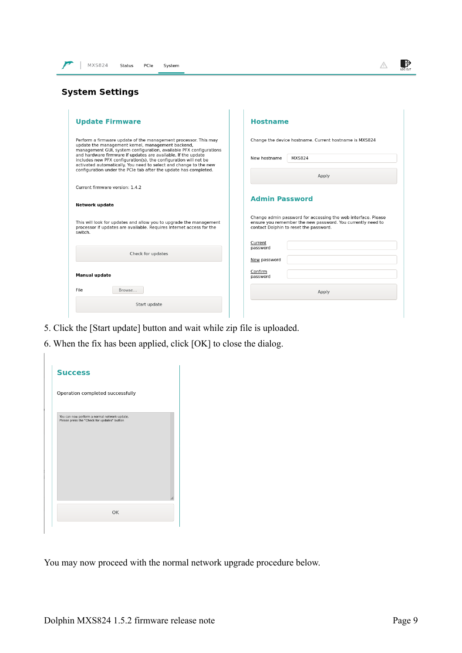| <b>MXS824</b><br>Status<br>PCIe<br>System                                                                                                                                                              |                                                                                                                                                                        |
|--------------------------------------------------------------------------------------------------------------------------------------------------------------------------------------------------------|------------------------------------------------------------------------------------------------------------------------------------------------------------------------|
| <b>System Settings</b>                                                                                                                                                                                 |                                                                                                                                                                        |
| <b>Update Firmware</b>                                                                                                                                                                                 | <b>Hostname</b>                                                                                                                                                        |
| Perform a firmware update of the management processor. This may<br>update the management kernel, management backend,<br>management GUI, system configuration, available PFX configurations             | Change the device hostname. Current hostname is MXS824                                                                                                                 |
| and hardware firmware if updates are available. If the update<br>includes new PFX configuration(s), the configuration will not be<br>activated automatically. You need to select and change to the new | <b>MXS824</b><br>New hostname                                                                                                                                          |
| configuration under the PCIe tab after the update has completed.                                                                                                                                       | Apply                                                                                                                                                                  |
| Current firmware version: 1.4.2                                                                                                                                                                        |                                                                                                                                                                        |
| Network update                                                                                                                                                                                         | <b>Admin Password</b>                                                                                                                                                  |
| This will look for updates and allow you to upgrade the management<br>processor if updates are available. Requires Internet access for the<br>switch.                                                  | Change admin password for accessing the web interface. Please<br>ensure you remember the new password. You currently need to<br>contact Dolphin to reset the password. |
| Check for updates                                                                                                                                                                                      | Current<br>password                                                                                                                                                    |
| <b>Manual update</b>                                                                                                                                                                                   | New password<br>Confirm<br>password                                                                                                                                    |
| File<br>Browse                                                                                                                                                                                         | Apply                                                                                                                                                                  |

- 5. Click the [Start update] button and wait while zip file is uploaded.
- 6. When the fix has been applied, click [OK] to close the dialog.

Start update

| Operation completed successfully             |    |
|----------------------------------------------|----|
| You can now perform a normal network update. |    |
| Please press the "Check for updates" button  |    |
|                                              |    |
|                                              |    |
|                                              |    |
|                                              |    |
|                                              |    |
|                                              |    |
|                                              | OK |

You may now proceed with the normal network upgrade procedure below.

 $\Rightarrow$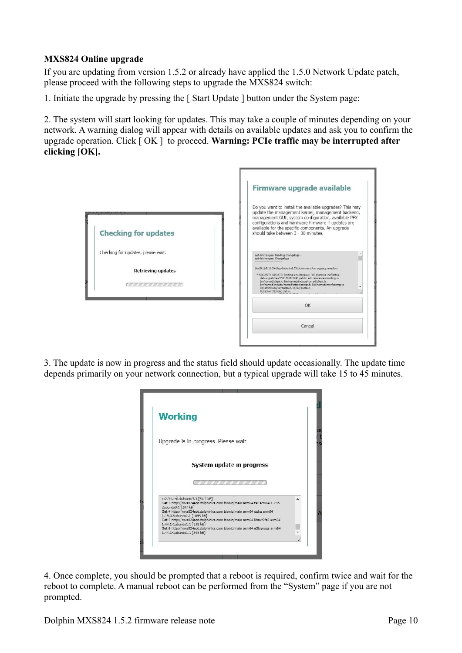#### <span id="page-9-0"></span>**MXS824 Online upgrade**

If you are updating from version 1.5.2 or already have applied the 1.5.0 Network Update patch, please proceed with the following steps to upgrade the MXS824 switch:

1. Initiate the upgrade by pressing the [ Start Update ] button under the System page:

2. The system will start looking for updates. This may take a couple of minutes depending on your network. A warning dialog will appear with details on available updates and ask you to confirm the upgrade operation. Click [ OK ] to proceed. **Warning: PCIe traffic may be interrupted after clicking [OK].**



3. The update is now in progress and the status field should update occasionally. The update time depends primarily on your network connection, but a typical upgrade will take 15 to 45 minutes.



4. Once complete, you should be prompted that a reboot is required, confirm twice and wait for the reboot to complete. A manual reboot can be performed from the "System" page if you are not prompted.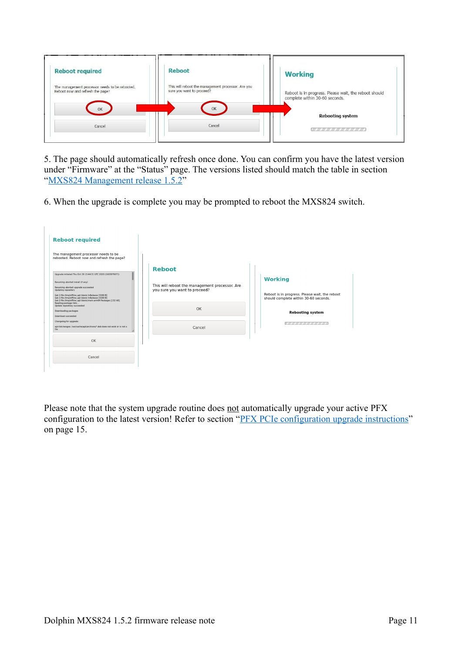| <b>Reboot required</b>                                                                   | <b>Reboot</b>                                                                         | <b>Working</b>                                                                          |
|------------------------------------------------------------------------------------------|---------------------------------------------------------------------------------------|-----------------------------------------------------------------------------------------|
| The management processor needs to be rebooted.<br>Reboot now and refresh the page?<br>OK | This will reboot the management processor. Are you<br>sure you want to proceed?<br>OK | Reboot is in progress. Please wait, the reboot should<br>complete within 30-60 seconds. |
|                                                                                          |                                                                                       | <b>Rebooting system</b>                                                                 |
| Cancel                                                                                   | Cancel                                                                                |                                                                                         |

5. The page should automatically refresh once done. You can confirm you have the latest version under "Firmware" at the "Status" page. The versions listed should match the table in section "MXS824 Management release 1.5.2"

6. When the upgrade is complete you may be prompted to reboot the MXS824 switch.

| <b>Reboot required</b>                                                                                                                                                                                   |                                                |                                                                                         |
|----------------------------------------------------------------------------------------------------------------------------------------------------------------------------------------------------------|------------------------------------------------|-----------------------------------------------------------------------------------------|
| The management processor needs to be<br>rebooted. Reboot now and refresh the page?                                                                                                                       |                                                |                                                                                         |
| Upgrade initiated Thu Oct 29 13:44:31 UTC 2020 (1603979071)                                                                                                                                              | <b>Reboot</b>                                  |                                                                                         |
| Resuming aborted install (if any)<br>Resuming aborted upgrade succeeded                                                                                                                                  | This will reboot the management processor. Are | <b>Working</b>                                                                          |
| Updating repository<br>Get:1 file:/tmp/offline_apt bionic InRelease [3190 B]<br>Get:1 file:/tmp/offline_apt bionic InRelease [3190 B]<br>Get:2 file:/tmp/offline_apt bionic/main arm64 Packages [132 kB] | you sure you want to proceed?                  | Reboot is in progress. Please wait, the reboot<br>should complete within 30-60 seconds. |
| Reading package lists<br>Update repository succeeded<br>Downloading packages<br>Download succeeded                                                                                                       | OK                                             | <b>Rebooting system</b>                                                                 |
| Changelog for upgrade:<br>apt-listchanges: /var/cache/apt/archives/*.deb does not exist or is not a<br>file:                                                                                             | Cancel                                         | -----------------                                                                       |
| OK                                                                                                                                                                                                       |                                                |                                                                                         |
|                                                                                                                                                                                                          |                                                |                                                                                         |
| Cancel                                                                                                                                                                                                   |                                                |                                                                                         |

Please note that the system upgrade routine does not automatically upgrade your active PFX configuration to the latest version! Refer to section ["PFX PCIe configuration upgrade instructions"](#page-14-0) on page [15](#page-14-0).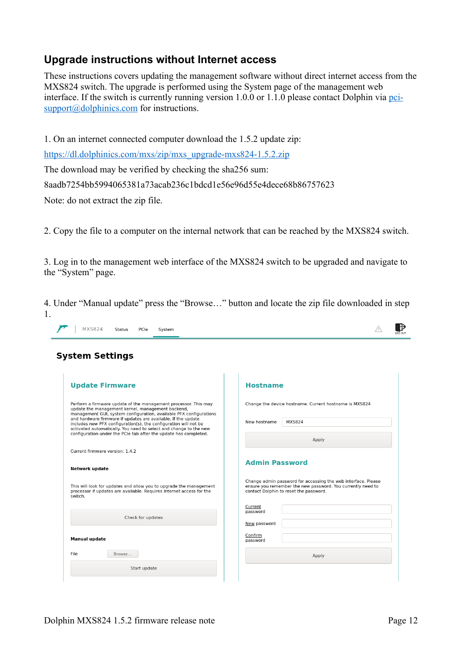### <span id="page-11-0"></span>**Upgrade instructions without Internet access**

These instructions covers updating the management software without direct internet access from the MXS824 switch. The upgrade is performed using the System page of the management web interface. If the switch is currently running version 1.0.0 or 1.1.0 please contact Dolphin via [pci](mailto:pci-support@dolphinics.com)[support@dolphinics.com](mailto:pci-support@dolphinics.com) for instructions.

1. On an internet connected computer download the 1.5.2 update zip:

https://dl.dolphinics.com/mxs/zip/mxs\_upgrade-mxs824-1.5.2.zip

The download may be verified by checking the sha256 sum:

8aadb7254bb5994065381a73acab236c1bdcd1e56e96d55e4dece68b86757623

Note: do not extract the zip file.

2. Copy the file to a computer on the internal network that can be reached by the MXS824 switch.

3. Log in to the management web interface of the MXS824 switch to be upgraded and navigate to the "System" page.

4. Under "Manual update" press the "Browse…" button and locate the zip file downloaded in step 1.

| <b>System Settings</b>                                                                                                                                                                                                                                                                                                                                                                               |                                                                                                                                                                        |
|------------------------------------------------------------------------------------------------------------------------------------------------------------------------------------------------------------------------------------------------------------------------------------------------------------------------------------------------------------------------------------------------------|------------------------------------------------------------------------------------------------------------------------------------------------------------------------|
| <b>Update Firmware</b>                                                                                                                                                                                                                                                                                                                                                                               | <b>Hostname</b>                                                                                                                                                        |
| Perform a firmware update of the management processor. This may<br>update the management kernel, management backend,<br>management GUI, system configuration, available PFX configurations<br>and hardware firmware if updates are available. If the update<br>includes new PFX configuration(s), the configuration will not be<br>activated automatically. You need to select and change to the new | Change the device hostname. Current hostname is MXS824<br><b>MXS824</b><br>New hostname                                                                                |
| configuration under the PCIe tab after the update has completed.<br>Current firmware version: 1.4.2                                                                                                                                                                                                                                                                                                  | Apply                                                                                                                                                                  |
| <b>Network update</b>                                                                                                                                                                                                                                                                                                                                                                                | <b>Admin Password</b>                                                                                                                                                  |
| This will look for updates and allow you to upgrade the management<br>processor if updates are available. Requires Internet access for the<br>switch.                                                                                                                                                                                                                                                | Change admin password for accessing the web interface. Please<br>ensure you remember the new password. You currently need to<br>contact Dolphin to reset the password. |
| Check for updates                                                                                                                                                                                                                                                                                                                                                                                    | Current<br>password<br>New password                                                                                                                                    |
| <b>Manual update</b>                                                                                                                                                                                                                                                                                                                                                                                 | Confirm<br>password                                                                                                                                                    |
| File<br>Browse                                                                                                                                                                                                                                                                                                                                                                                       | Apply                                                                                                                                                                  |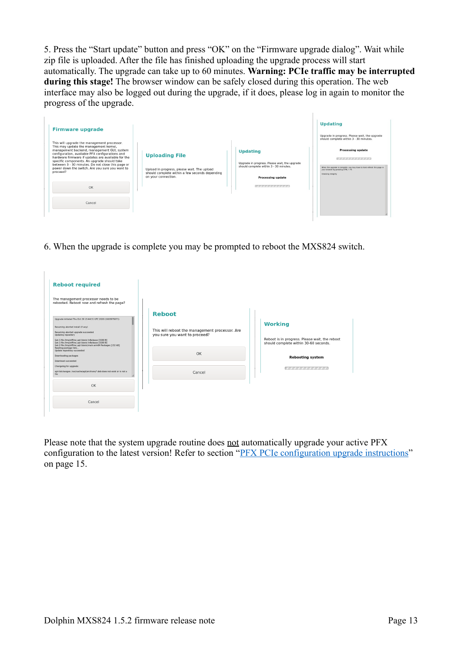5. Press the "Start update" button and press "OK" on the "Firmware upgrade dialog". Wait while zip file is uploaded. After the file has finished uploading the upgrade process will start automatically. The upgrade can take up to 60 minutes. **Warning: PCIe traffic may be interrupted during this stage!** The browser window can be safely closed during this operation. The web interface may also be logged out during the upgrade, if it does, please log in again to monitor the progress of the upgrade.

| <b>Firmware upgrade</b><br>This will upgrade the management processor.<br>This may update the management kernel,                                                                                                                                                                                                       |                                                                                                                                                                                                                                                                                         | <b>Updating</b><br>Upgrade in progress. Please wait, the upgrade<br>should complete within 3 - 30 minutes.                                                                               |
|------------------------------------------------------------------------------------------------------------------------------------------------------------------------------------------------------------------------------------------------------------------------------------------------------------------------|-----------------------------------------------------------------------------------------------------------------------------------------------------------------------------------------------------------------------------------------------------------------------------------------|------------------------------------------------------------------------------------------------------------------------------------------------------------------------------------------|
| management backend, management GUI, system<br>configuration, available PFX configurations and<br>hardware firmware if updates are available for the<br>specific components. An upgrade should take<br>between 3 - 30 minutes. Do not close this page or<br>power down the switch. Are you sure you want to<br>proceed? | <b>Updating</b><br><b>Uploading File</b><br>Upgrade in progress. Please wait, the upgrade<br>should complete within 3 - 30 minutes.<br>Upload in progress, please wait. The upload<br>should complete within a few seconds depending<br>on your connection.<br><b>Processing update</b> | <b>Processing update</b><br>,,,,,,,,,,,,,,,,,,,,,<br>When the upgrade is complete, you may have to hard-refresh this page in<br>your browser by pressing CTRL + F5<br>Checking integrity |
| OK<br>Cancel                                                                                                                                                                                                                                                                                                           | ,,,,,,,,,,,,,,,,,,,,,,                                                                                                                                                                                                                                                                  |                                                                                                                                                                                          |

6. When the upgrade is complete you may be prompted to reboot the MXS824 switch.

| <b>Reboot required</b>                                                                                                                                                           |                                                                                 |                                                |
|----------------------------------------------------------------------------------------------------------------------------------------------------------------------------------|---------------------------------------------------------------------------------|------------------------------------------------|
| The management processor needs to be<br>rebooted. Reboot now and refresh the page?                                                                                               |                                                                                 |                                                |
| Upgrade initiated Thu Oct 29 13:44:31 UTC 2020 (1603979071)                                                                                                                      | <b>Reboot</b>                                                                   |                                                |
| Resuming aborted install (if any)                                                                                                                                                |                                                                                 | <b>Working</b>                                 |
| Resuming aborted upgrade succeeded<br>Updating repository<br>Get:1 file:/tmp/offline_apt bionic InRelease [3190 B]                                                               | This will reboot the management processor. Are<br>you sure you want to proceed? | Reboot is in progress. Please wait, the reboot |
| Get:1 file:/tmp/offline_apt bionic InRelease [3190 B]<br>Get:2 file:/tmp/offline_apt bionic/main arm64 Packages [132 kB]<br>Reading package lists<br>Update repository succeeded |                                                                                 | should complete within 30-60 seconds.          |
| Downloading packages                                                                                                                                                             | OK                                                                              | <b>Rebooting system</b>                        |
| Download succeeded<br>Changelog for upgrade:                                                                                                                                     |                                                                                 | ,,,,,,,,,,,,,,,,,,                             |
| apt-listchanges: /var/cache/apt/archives/*.deb does not exist or is not a<br>file.                                                                                               | Cancel                                                                          |                                                |
| OK                                                                                                                                                                               |                                                                                 |                                                |
| Cancel                                                                                                                                                                           |                                                                                 |                                                |
|                                                                                                                                                                                  |                                                                                 |                                                |

Please note that the system upgrade routine does not automatically upgrade your active PFX configuration to the latest version! Refer to section ["PFX PCIe configuration upgrade instructions"](#page-14-0) on page [15](#page-14-0).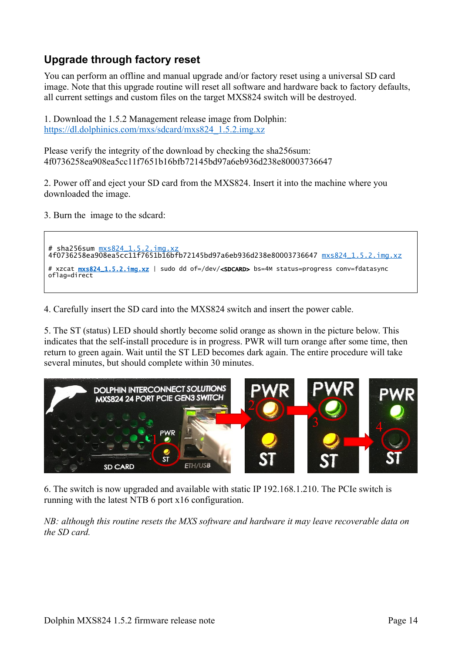## <span id="page-13-0"></span>**Upgrade through factory reset**

You can perform an offline and manual upgrade and/or factory reset using a universal SD card image. Note that this upgrade routine will reset all software and hardware back to factory defaults, all current settings and custom files on the target MXS824 switch will be destroyed.

1. Download the 1.5.2 Management release image from Dolphin: [https://dl.dolphinics.com/mxs/sdcard/mxs824\\_1.5.2.img.xz](https://dl.dolphinics.com/mxs/sdcard/mxs824_1.5.2.img.xz)

Please verify the integrity of the download by checking the sha256sum: 4f0736258ea908ea5cc11f7651b16bfb72145bd97a6eb936d238e80003736647

2. Power off and eject your SD card from the MXS824. Insert it into the machine where you downloaded the image.

3. Burn the image to the sdcard:

```
# sha256sum mxs824_1.5.2 .img.xz
4f0736258ea908ea5cc11f7651b16bfb72145bd97a6eb936d238e80003736647 mxs824_1.5.2 .img.xz
# xzcat mxs824_1.5.2. img.xz | sudo dd of=/dev/<SDCARD> bs=4M status=progress conv=fdatasync
oflag=direct
```
4. Carefully insert the SD card into the MXS824 switch and insert the power cable.

5. The ST (status) LED should shortly become solid orange as shown in the picture below. This indicates that the self-install procedure is in progress. PWR will turn orange after some time, then return to green again. Wait until the ST LED becomes dark again. The entire procedure will take several minutes, but should complete within 30 minutes.



6. The switch is now upgraded and available with static IP 192.168.1.210. The PCIe switch is running with the latest NTB 6 port x16 configuration.

*NB: although this routine resets the MXS software and hardware it may leave recoverable data on the SD card.*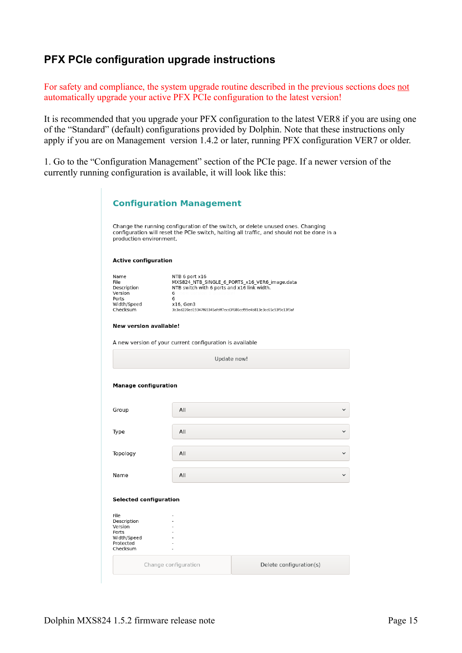### <span id="page-14-0"></span>**PFX PCIe configuration upgrade instructions**

For safety and compliance, the system upgrade routine described in the previous sections does not automatically upgrade your active PFX PCIe configuration to the latest version!

It is recommended that you upgrade your PFX configuration to the latest VER8 if you are using one of the "Standard" (default) configurations provided by Dolphin. Note that these instructions only apply if you are on Management version 1.4.2 or later, running PFX configuration VER7 or older.

1. Go to the "Configuration Management" section of the PCIe page. If a newer version of the currently running configuration is available, it will look like this:

|                                                                                 | <b>Configuration Management</b>                                                                                                                                                                           |              |
|---------------------------------------------------------------------------------|-----------------------------------------------------------------------------------------------------------------------------------------------------------------------------------------------------------|--------------|
| production environment.                                                         | Change the running configuration of the switch, or delete unused ones. Changing<br>configuration will reset the PCIe switch, halting all traffic, and should not be done in a                             |              |
| <b>Active configuration</b>                                                     |                                                                                                                                                                                                           |              |
| Name<br>File<br>Description<br>Version<br>Ports<br>Width/Speed<br>Checksum      | NTB 6 port x16<br>MXS824_NTB_SINGLE_6_PORTS_x16_VER6_image.data<br>NTB switch with 6 ports and x16 link width.<br>6<br>6<br>x16, Gen3<br>3b3ad220ed19347f69345afdff7ecd3f686ccf99e4b813e3cc65c93f9c13f3af |              |
| <b>New version available!</b>                                                   |                                                                                                                                                                                                           |              |
|                                                                                 | A new version of your current configuration is available                                                                                                                                                  |              |
|                                                                                 | Update now!                                                                                                                                                                                               |              |
| <b>Manage configuration</b>                                                     | All                                                                                                                                                                                                       | $\checkmark$ |
| Group                                                                           |                                                                                                                                                                                                           |              |
| Type                                                                            | All                                                                                                                                                                                                       |              |
| Topology                                                                        | All                                                                                                                                                                                                       | $\checkmark$ |
| Name                                                                            | All                                                                                                                                                                                                       |              |
|                                                                                 |                                                                                                                                                                                                           |              |
| <b>Selected configuration</b>                                                   |                                                                                                                                                                                                           |              |
| File<br>Description<br>Version<br>Ports<br>Width/Speed<br>Protected<br>Checksum |                                                                                                                                                                                                           |              |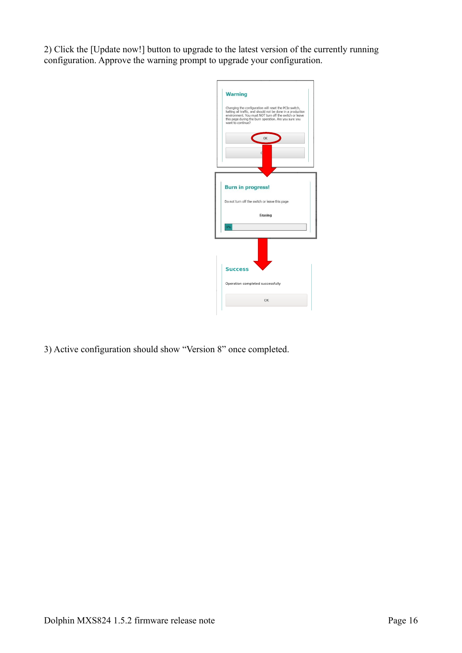2) Click the [Update now!] button to upgrade to the latest version of the currently running configuration. Approve the warning prompt to upgrade your configuration.



3) Active configuration should show "Version 8" once completed.